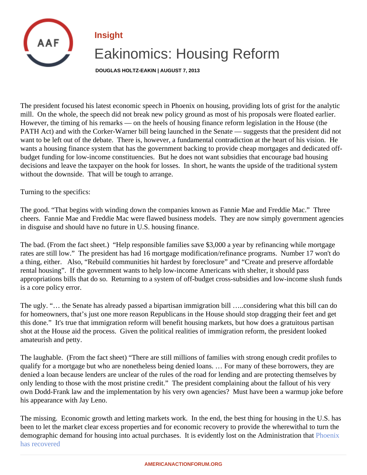## Insight

## Eakinomics: Housing Reform

DOUGLAS HOLTZ-EAKIN | AUGUST 7, 2013

The president focused his latest economic speech in Phoenix on housing, providing lots of grist for the analyt mill. On the whole, the speech did not break new policy ground as most of his proposals were floated earlier. However, the timing of his remarks — on the heels of housing finance reform legislation in the House (the PATH Act) and with the Corker-Warner bill being launched in the Senate — suggests that the president did not want to be left out of the debate. There is, however, a fundamental contradiction at the heart of his vision. He wants a housing finance system that has the government backing to provide cheap mortgages and dedicated budget funding for low-income constituencies. But he does not want subsidies that encourage bad housing decisions and leave the taxpayer on the hook for losses. In short, he wants the upside of the traditional syste without the downside. That will be tough to arrange.

Turning to the specifics:

The good. "That begins with winding down the companies known as Fannie Mae and Freddie Mac." Three cheers. Fannie Mae and Freddie Mac were flawed business models. They are now simply government agen in disguise and should have no future in U.S. housing finance.

The bad. (From the fact sheet.) "Help responsible families save \$3,000 a year by refinancing while mortgage rates are still low." The president has had 16 mortgage modification/refinance programs. Number 17 won't d a thing, either. Also, "Rebuild communities hit hardest by foreclosure" and "Create and preserve affordable rental housing". If the government wants to help low-income Americans with shelter, it should pass appropriations bills that do so. Returning to a system of off-budget cross-subsidies and low-income slush fun is a core policy error.

The ugly. "… the Senate has already passed a bipartisan immigration bill …..considering what this bill can do for homeowners, that's just one more reason Republicans in the House should stop dragging their feet and get this done." It's true that immigration reform will benefit housing markets, but how does a gratuitous partisan shot at the House aid the process. Given the political realities of immigration reform, the president looked amateurish and petty.

The laughable. (From the fact sheet) "There are still millions of families with strong enough credit profiles to qualify for a mortgage but who are nonetheless being denied loans. … For many of these borrowers, they are denied a loan because lenders are unclear of the rules of the road for lending and are protecting themselves only lending to those with the most pristine credit." The president complaining about the fallout of his very own Dodd-Frank law and the implementation by his very own agencies? Must have been a warmup joke before his appearance with Jay Leno.

The missing. Economic growth and letting markets work. In the end, the best thing for housing in the U.S. has been to let the market clear excess properties and for economic recovery to provide the wherewithal to turn th demographic demand for housing into actual purchases. It is evidently lost on the Administral on that [has recovere](�� h t t p : / / a m e r i c a n a c t i o n f o r u m . o r g / i n s i g h t s / t h e - u . s . - h o u s i n g - r e c o v e r y - l e s s o n s - f r o m - a r i z o n a)d